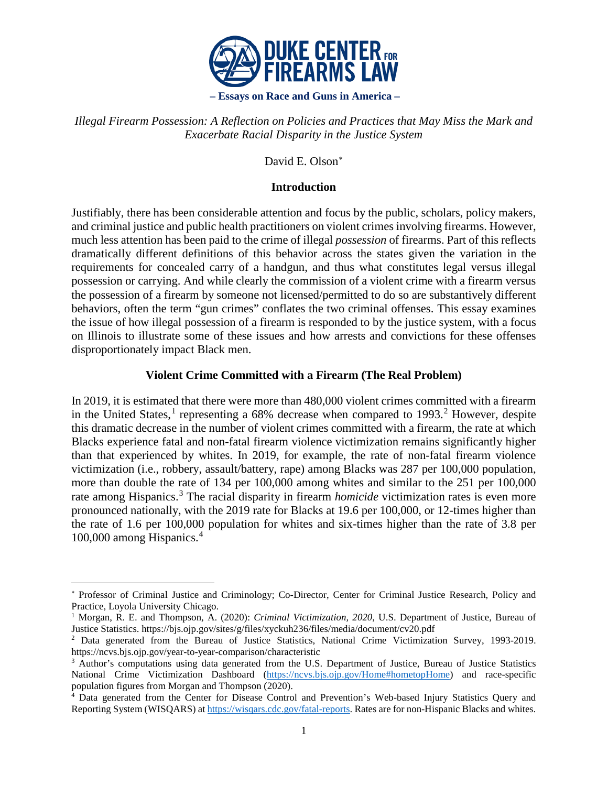

*Illegal Firearm Possession: A Reflection on Policies and Practices that May Miss the Mark and Exacerbate Racial Disparity in the Justice System*

David E. Olson[∗](#page-0-0)

# **Introduction**

Justifiably, there has been considerable attention and focus by the public, scholars, policy makers, and criminal justice and public health practitioners on violent crimes involving firearms. However, much less attention has been paid to the crime of illegal *possession* of firearms. Part of this reflects dramatically different definitions of this behavior across the states given the variation in the requirements for concealed carry of a handgun, and thus what constitutes legal versus illegal possession or carrying. And while clearly the commission of a violent crime with a firearm versus the possession of a firearm by someone not licensed/permitted to do so are substantively different behaviors, often the term "gun crimes" conflates the two criminal offenses. This essay examines the issue of how illegal possession of a firearm is responded to by the justice system, with a focus on Illinois to illustrate some of these issues and how arrests and convictions for these offenses disproportionately impact Black men.

# **Violent Crime Committed with a Firearm (The Real Problem)**

In 2019, it is estimated that there were more than 480,000 violent crimes committed with a firearm in the United States,<sup>[1](#page-0-1)</sup> representing a 68% decrease when compared to 1993.<sup>[2](#page-0-2)</sup> However, despite this dramatic decrease in the number of violent crimes committed with a firearm, the rate at which Blacks experience fatal and non-fatal firearm violence victimization remains significantly higher than that experienced by whites. In 2019, for example, the rate of non-fatal firearm violence victimization (i.e., robbery, assault/battery, rape) among Blacks was 287 per 100,000 population, more than double the rate of 134 per 100,000 among whites and similar to the 251 per 100,000 rate among Hispanics.<sup>[3](#page-0-3)</sup> The racial disparity in firearm *homicide* victimization rates is even more pronounced nationally, with the 2019 rate for Blacks at 19.6 per 100,000, or 12-times higher than the rate of 1.6 per 100,000 population for whites and six-times higher than the rate of 3.8 per 100,000 among Hispanics.[4](#page-0-4)

<span id="page-0-0"></span><sup>∗</sup> Professor of Criminal Justice and Criminology; Co-Director, Center for Criminal Justice Research, Policy and Practice, Loyola University Chicago.

<span id="page-0-1"></span><sup>&</sup>lt;sup>1</sup> Morgan, R. E. and Thompson, A. (2020): *Criminal Victimization, 2020*, U.S. Department of Justice, Bureau of Justice Statistics. https://bjs.ojp.gov/sites/g/files/xyckuh236/files/media/document/cv20.pdf

<span id="page-0-2"></span><sup>2</sup> Data generated from the Bureau of Justice Statistics, National Crime Victimization Survey, 1993-2019. https://ncvs.bjs.ojp.gov/year-to-year-comparison/characteristic

<span id="page-0-3"></span><sup>3</sup> Author's computations using data generated from the U.S. Department of Justice, Bureau of Justice Statistics National Crime Victimization Dashboard [\(https://ncvs.bjs.ojp.gov/Home#hometopHome\)](https://ncvs.bjs.ojp.gov/Home#hometopHome) and race-specific population figures from Morgan and Thompson (2020).

<span id="page-0-4"></span><sup>4</sup> Data generated from the Center for Disease Control and Prevention's Web-based Injury Statistics Query and Reporting System (WISQARS) a[t https://wisqars.cdc.gov/fatal-reports.](https://wisqars.cdc.gov/fatal-reports) Rates are for non-Hispanic Blacks and whites.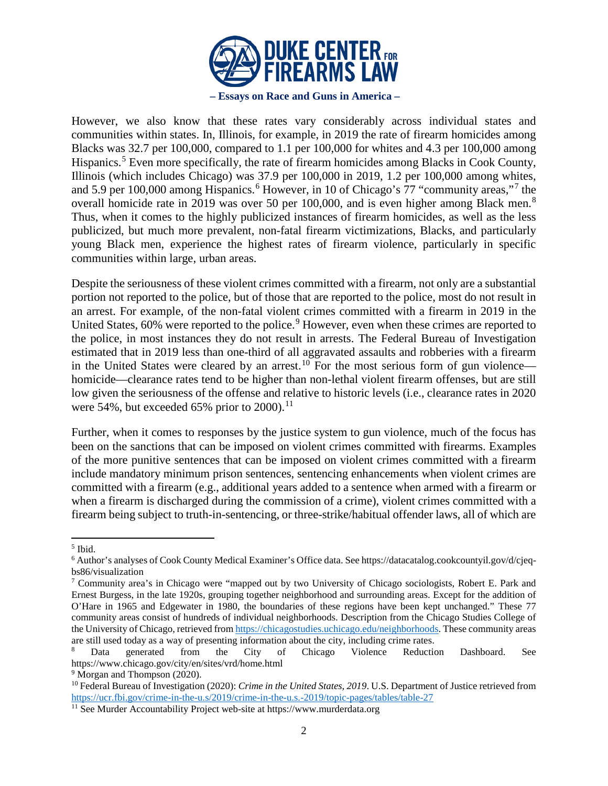

However, we also know that these rates vary considerably across individual states and communities within states. In, Illinois, for example, in 2019 the rate of firearm homicides among Blacks was 32.7 per 100,000, compared to 1.1 per 100,000 for whites and 4.3 per 100,000 among Hispanics.<sup>[5](#page-1-0)</sup> Even more specifically, the rate of firearm homicides among Blacks in Cook County, Illinois (which includes Chicago) was 37.9 per 100,000 in 2019, 1.2 per 100,000 among whites, and 5.9 per 100,000 among Hispanics.<sup>[6](#page-1-1)</sup> However, in 10 of Chicago's [7](#page-1-2)7 "community areas,"<sup>7</sup> the overall homicide rate in 2019 was over 50 per 100,000, and is even higher among Black men.<sup>[8](#page-1-3)</sup> Thus, when it comes to the highly publicized instances of firearm homicides, as well as the less publicized, but much more prevalent, non-fatal firearm victimizations, Blacks, and particularly young Black men, experience the highest rates of firearm violence, particularly in specific communities within large, urban areas.

Despite the seriousness of these violent crimes committed with a firearm, not only are a substantial portion not reported to the police, but of those that are reported to the police, most do not result in an arrest. For example, of the non-fatal violent crimes committed with a firearm in 2019 in the United States, 60% were reported to the police.<sup>[9](#page-1-4)</sup> However, even when these crimes are reported to the police, in most instances they do not result in arrests. The Federal Bureau of Investigation estimated that in 2019 less than one-third of all aggravated assaults and robberies with a firearm in the United States were cleared by an arrest.<sup>[10](#page-1-5)</sup> For the most serious form of gun violence homicide—clearance rates tend to be higher than non-lethal violent firearm offenses, but are still low given the seriousness of the offense and relative to historic levels (i.e., clearance rates in 2020 were 54%, but exceeded 65% prior to 2000).<sup>[11](#page-1-6)</sup>

Further, when it comes to responses by the justice system to gun violence, much of the focus has been on the sanctions that can be imposed on violent crimes committed with firearms. Examples of the more punitive sentences that can be imposed on violent crimes committed with a firearm include mandatory minimum prison sentences, sentencing enhancements when violent crimes are committed with a firearm (e.g., additional years added to a sentence when armed with a firearm or when a firearm is discharged during the commission of a crime), violent crimes committed with a firearm being subject to truth-in-sentencing, or three-strike/habitual offender laws, all of which are

l

<span id="page-1-0"></span><sup>5</sup> Ibid.

<span id="page-1-1"></span><sup>6</sup> Author's analyses of Cook County Medical Examiner's Office data. See https://datacatalog.cookcountyil.gov/d/cjeqbs86/visualization

<span id="page-1-2"></span><sup>7</sup> Community area's in Chicago were "mapped out by two University of Chicago sociologists, Robert E. Park and Ernest Burgess, in the late 1920s, grouping together neighborhood and surrounding areas. Except for the addition of O'Hare in 1965 and Edgewater in 1980, the boundaries of these regions have been kept unchanged." These 77 community areas consist of hundreds of individual neighborhoods. Description from the Chicago Studies College of the University of Chicago, retrieved fro[m https://chicagostudies.uchicago.edu/neighborhoods.](https://chicagostudies.uchicago.edu/neighborhoods) These community areas are still used today as a way of presenting information about the city, including crime rates.

<span id="page-1-3"></span><sup>&</sup>lt;sup>8</sup> Data generated from the City of Chicago Violence Reduction Dashboard. See https://www.chicago.gov/city/en/sites/vrd/home.html

<span id="page-1-4"></span><sup>&</sup>lt;sup>9</sup> Morgan and Thompson (2020).

<span id="page-1-5"></span><sup>10</sup> Federal Bureau of Investigation (2020): *Crime in the United States, 2019*. U.S. Department of Justice retrieved from <https://ucr.fbi.gov/crime-in-the-u.s/2019/crime-in-the-u.s.-2019/topic-pages/tables/table-27>

<span id="page-1-6"></span><sup>&</sup>lt;sup>11</sup> See Murder Accountability Project web-site at https://www.murderdata.org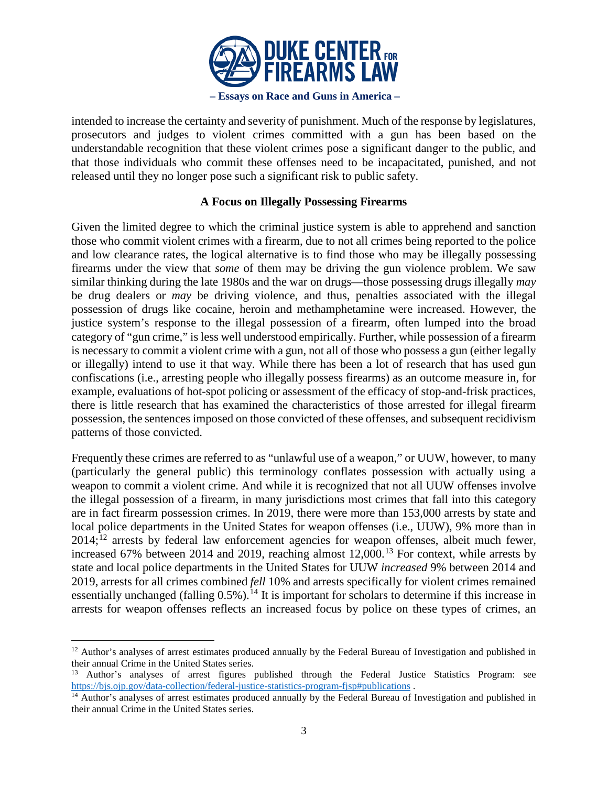

intended to increase the certainty and severity of punishment. Much of the response by legislatures, prosecutors and judges to violent crimes committed with a gun has been based on the understandable recognition that these violent crimes pose a significant danger to the public, and that those individuals who commit these offenses need to be incapacitated, punished, and not released until they no longer pose such a significant risk to public safety.

# **A Focus on Illegally Possessing Firearms**

Given the limited degree to which the criminal justice system is able to apprehend and sanction those who commit violent crimes with a firearm, due to not all crimes being reported to the police and low clearance rates, the logical alternative is to find those who may be illegally possessing firearms under the view that *some* of them may be driving the gun violence problem. We saw similar thinking during the late 1980s and the war on drugs—those possessing drugs illegally *may* be drug dealers or *may* be driving violence, and thus, penalties associated with the illegal possession of drugs like cocaine, heroin and methamphetamine were increased. However, the justice system's response to the illegal possession of a firearm, often lumped into the broad category of "gun crime," is less well understood empirically. Further, while possession of a firearm is necessary to commit a violent crime with a gun, not all of those who possess a gun (either legally or illegally) intend to use it that way. While there has been a lot of research that has used gun confiscations (i.e., arresting people who illegally possess firearms) as an outcome measure in, for example, evaluations of hot-spot policing or assessment of the efficacy of stop-and-frisk practices, there is little research that has examined the characteristics of those arrested for illegal firearm possession, the sentences imposed on those convicted of these offenses, and subsequent recidivism patterns of those convicted.

Frequently these crimes are referred to as "unlawful use of a weapon," or UUW, however, to many (particularly the general public) this terminology conflates possession with actually using a weapon to commit a violent crime. And while it is recognized that not all UUW offenses involve the illegal possession of a firearm, in many jurisdictions most crimes that fall into this category are in fact firearm possession crimes. In 2019, there were more than 153,000 arrests by state and local police departments in the United States for weapon offenses (i.e., UUW), 9% more than in  $2014$ <sup> $12$ </sup> arrests by federal law enforcement agencies for weapon offenses, albeit much fewer, increased 67% between 2014 and 2019, reaching almost  $12,000$ .<sup>[13](#page-2-1)</sup> For context, while arrests by state and local police departments in the United States for UUW *increased* 9% between 2014 and 2019, arrests for all crimes combined *fell* 10% and arrests specifically for violent crimes remained essentially unchanged (falling  $0.5\%$ ).<sup>[14](#page-2-2)</sup> It is important for scholars to determine if this increase in arrests for weapon offenses reflects an increased focus by police on these types of crimes, an

 $\overline{a}$ 

<span id="page-2-0"></span><sup>&</sup>lt;sup>12</sup> Author's analyses of arrest estimates produced annually by the Federal Bureau of Investigation and published in their annual Crime in the United States series.

<span id="page-2-1"></span><sup>&</sup>lt;sup>13</sup> Author's analyses of arrest figures published through the Federal Justice Statistics Program: see  $\frac{https://big.org/101}{https://big.org/101/101}/\frac{6}{101/101}/\frac{6}{101/101}/\frac{6}{101/101}/\frac{6}{101/101}/\frac{6}{101/101}/\frac{6}{101/101}/\frac{6}{101/101}/\$ 

<span id="page-2-2"></span> $14$  Author's analyses of arrest estimates produced annually by the Federal Bureau of Investigation and published in their annual Crime in the United States series.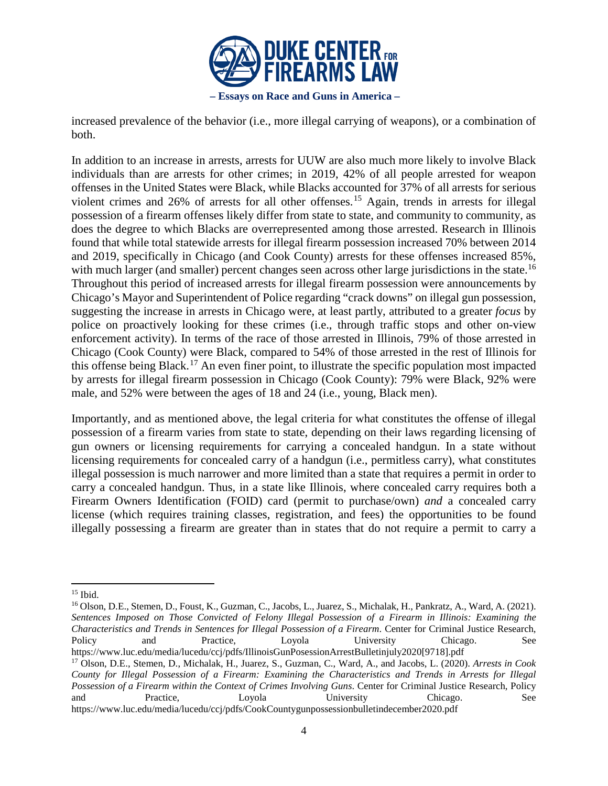

increased prevalence of the behavior (i.e., more illegal carrying of weapons), or a combination of both.

In addition to an increase in arrests, arrests for UUW are also much more likely to involve Black individuals than are arrests for other crimes; in 2019, 42% of all people arrested for weapon offenses in the United States were Black, while Blacks accounted for 37% of all arrests for serious violent crimes and 26% of arrests for all other offenses.<sup>[15](#page-3-0)</sup> Again, trends in arrests for illegal possession of a firearm offenses likely differ from state to state, and community to community, as does the degree to which Blacks are overrepresented among those arrested. Research in Illinois found that while total statewide arrests for illegal firearm possession increased 70% between 2014 and 2019, specifically in Chicago (and Cook County) arrests for these offenses increased 85%, with much larger (and smaller) percent changes seen across other large jurisdictions in the state.<sup>[16](#page-3-1)</sup> Throughout this period of increased arrests for illegal firearm possession were announcements by Chicago's Mayor and Superintendent of Police regarding "crack downs" on illegal gun possession, suggesting the increase in arrests in Chicago were, at least partly, attributed to a greater *focus* by police on proactively looking for these crimes (i.e., through traffic stops and other on-view enforcement activity). In terms of the race of those arrested in Illinois, 79% of those arrested in Chicago (Cook County) were Black, compared to 54% of those arrested in the rest of Illinois for this offense being Black.<sup>[17](#page-3-2)</sup> An even finer point, to illustrate the specific population most impacted by arrests for illegal firearm possession in Chicago (Cook County): 79% were Black, 92% were male, and 52% were between the ages of 18 and 24 (i.e., young, Black men).

Importantly, and as mentioned above, the legal criteria for what constitutes the offense of illegal possession of a firearm varies from state to state, depending on their laws regarding licensing of gun owners or licensing requirements for carrying a concealed handgun. In a state without licensing requirements for concealed carry of a handgun (i.e., permitless carry), what constitutes illegal possession is much narrower and more limited than a state that requires a permit in order to carry a concealed handgun. Thus, in a state like Illinois, where concealed carry requires both a Firearm Owners Identification (FOID) card (permit to purchase/own) *and* a concealed carry license (which requires training classes, registration, and fees) the opportunities to be found illegally possessing a firearm are greater than in states that do not require a permit to carry a

<span id="page-3-0"></span><sup>15</sup> Ibid.

<span id="page-3-1"></span><sup>&</sup>lt;sup>16</sup> Olson, D.E., Stemen, D., Foust, K., Guzman, C., Jacobs, L., Juarez, S., Michalak, H., Pankratz, A., Ward, A. (2021). *Sentences Imposed on Those Convicted of Felony Illegal Possession of a Firearm in Illinois: Examining the Characteristics and Trends in Sentences for Illegal Possession of a Firearm*. Center for Criminal Justice Research, Policy and Practice, Loyola University Chicago. See https://www.luc.edu/media/lucedu/ccj/pdfs/IllinoisGunPosessionArrestBulletinjuly2020[9718].pdf

<span id="page-3-2"></span><sup>17</sup> Olson, D.E., Stemen, D., Michalak, H., Juarez, S., Guzman, C., Ward, A., and Jacobs, L. (2020). *Arrests in Cook County for Illegal Possession of a Firearm: Examining the Characteristics and Trends in Arrests for Illegal Possession of a Firearm within the Context of Crimes Involving Guns*. Center for Criminal Justice Research, Policy and Practice, Loyola University Chicago. See https://www.luc.edu/media/lucedu/ccj/pdfs/CookCountygunpossessionbulletindecember2020.pdf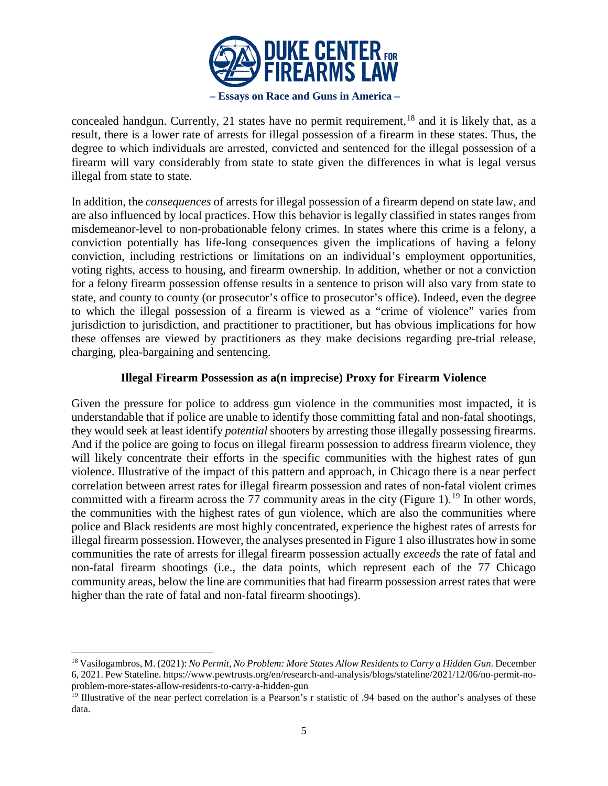

concealed handgun. Currently, 21 states have no permit requirement, <sup>[18](#page-4-0)</sup> and it is likely that, as a result, there is a lower rate of arrests for illegal possession of a firearm in these states. Thus, the degree to which individuals are arrested, convicted and sentenced for the illegal possession of a firearm will vary considerably from state to state given the differences in what is legal versus illegal from state to state.

In addition, the *consequences* of arrests for illegal possession of a firearm depend on state law, and are also influenced by local practices. How this behavior is legally classified in states ranges from misdemeanor-level to non-probationable felony crimes. In states where this crime is a felony, a conviction potentially has life-long consequences given the implications of having a felony conviction, including restrictions or limitations on an individual's employment opportunities, voting rights, access to housing, and firearm ownership. In addition, whether or not a conviction for a felony firearm possession offense results in a sentence to prison will also vary from state to state, and county to county (or prosecutor's office to prosecutor's office). Indeed, even the degree to which the illegal possession of a firearm is viewed as a "crime of violence" varies from jurisdiction to jurisdiction, and practitioner to practitioner, but has obvious implications for how these offenses are viewed by practitioners as they make decisions regarding pre-trial release, charging, plea-bargaining and sentencing.

# **Illegal Firearm Possession as a(n imprecise) Proxy for Firearm Violence**

Given the pressure for police to address gun violence in the communities most impacted, it is understandable that if police are unable to identify those committing fatal and non-fatal shootings, they would seek at least identify *potential* shooters by arresting those illegally possessing firearms. And if the police are going to focus on illegal firearm possession to address firearm violence, they will likely concentrate their efforts in the specific communities with the highest rates of gun violence. Illustrative of the impact of this pattern and approach, in Chicago there is a near perfect correlation between arrest rates for illegal firearm possession and rates of non-fatal violent crimes committed with a firearm across the 77 community areas in the city (Figure 1).<sup>[19](#page-4-1)</sup> In other words, the communities with the highest rates of gun violence, which are also the communities where police and Black residents are most highly concentrated, experience the highest rates of arrests for illegal firearm possession. However, the analyses presented in Figure 1 also illustrates how in some communities the rate of arrests for illegal firearm possession actually *exceeds* the rate of fatal and non-fatal firearm shootings (i.e., the data points, which represent each of the 77 Chicago community areas, below the line are communities that had firearm possession arrest rates that were higher than the rate of fatal and non-fatal firearm shootings).

<span id="page-4-0"></span><sup>18</sup> Vasilogambros, M. (2021): *No Permit, No Problem: More States Allow Residents to Carry a Hidden Gun*. December 6, 2021. Pew Stateline. https://www.pewtrusts.org/en/research-and-analysis/blogs/stateline/2021/12/06/no-permit-noproblem-more-states-allow-residents-to-carry-a-hidden-gun

<span id="page-4-1"></span><sup>&</sup>lt;sup>19</sup> Illustrative of the near perfect correlation is a Pearson's r statistic of .94 based on the author's analyses of these data.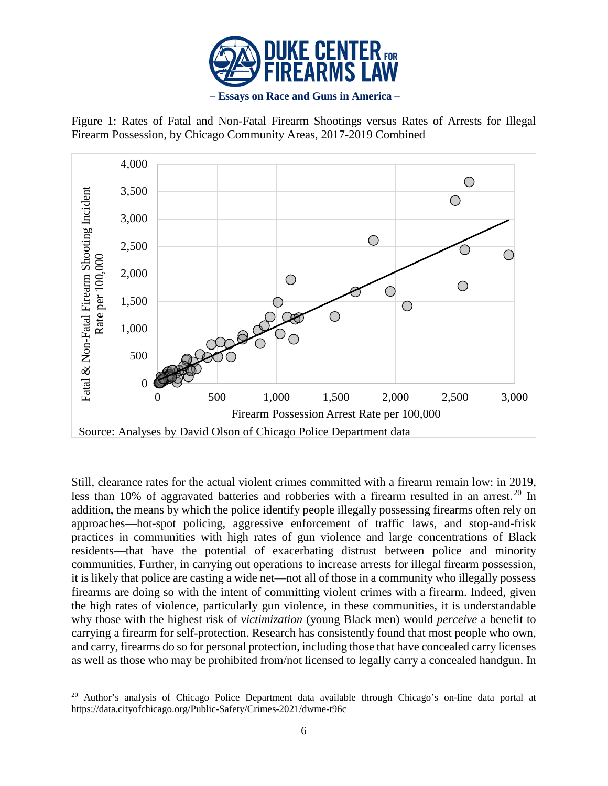





Still, clearance rates for the actual violent crimes committed with a firearm remain low: in 2019, less than 10% of aggravated batteries and robberies with a firearm resulted in an arrest.<sup>[20](#page-5-0)</sup> In addition, the means by which the police identify people illegally possessing firearms often rely on approaches—hot-spot policing, aggressive enforcement of traffic laws, and stop-and-frisk practices in communities with high rates of gun violence and large concentrations of Black residents—that have the potential of exacerbating distrust between police and minority communities. Further, in carrying out operations to increase arrests for illegal firearm possession, it is likely that police are casting a wide net—not all of those in a community who illegally possess firearms are doing so with the intent of committing violent crimes with a firearm. Indeed, given the high rates of violence, particularly gun violence, in these communities, it is understandable why those with the highest risk of *victimization* (young Black men) would *perceive* a benefit to carrying a firearm for self-protection. Research has consistently found that most people who own, and carry, firearms do so for personal protection, including those that have concealed carry licenses as well as those who may be prohibited from/not licensed to legally carry a concealed handgun. In

<span id="page-5-0"></span>l <sup>20</sup> Author's analysis of Chicago Police Department data available through Chicago's on-line data portal at https://data.cityofchicago.org/Public-Safety/Crimes-2021/dwme-t96c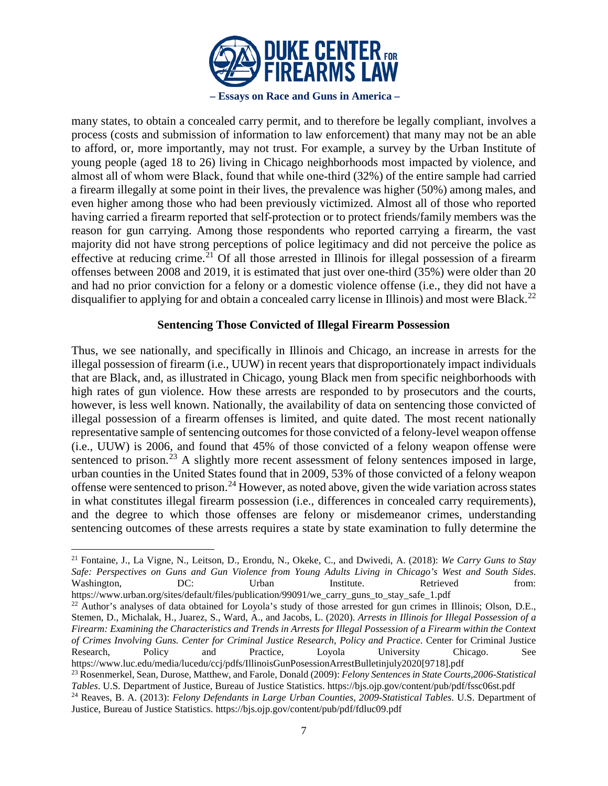

many states, to obtain a concealed carry permit, and to therefore be legally compliant, involves a process (costs and submission of information to law enforcement) that many may not be an able to afford, or, more importantly, may not trust. For example, a survey by the Urban Institute of young people (aged 18 to 26) living in Chicago neighborhoods most impacted by violence, and almost all of whom were Black, found that while one‐third (32%) of the entire sample had carried a firearm illegally at some point in their lives, the prevalence was higher (50%) among males, and even higher among those who had been previously victimized. Almost all of those who reported having carried a firearm reported that self-protection or to protect friends/family members was the reason for gun carrying. Among those respondents who reported carrying a firearm, the vast majority did not have strong perceptions of police legitimacy and did not perceive the police as effective at reducing crime.<sup>[21](#page-6-0)</sup> Of all those arrested in Illinois for illegal possession of a firearm offenses between 2008 and 2019, it is estimated that just over one-third (35%) were older than 20 and had no prior conviction for a felony or a domestic violence offense (i.e., they did not have a disqualifier to applying for and obtain a concealed carry license in Illinois) and most were Black.<sup>[22](#page-6-1)</sup>

# **Sentencing Those Convicted of Illegal Firearm Possession**

Thus, we see nationally, and specifically in Illinois and Chicago, an increase in arrests for the illegal possession of firearm (i.e., UUW) in recent years that disproportionately impact individuals that are Black, and, as illustrated in Chicago, young Black men from specific neighborhoods with high rates of gun violence. How these arrests are responded to by prosecutors and the courts, however, is less well known. Nationally, the availability of data on sentencing those convicted of illegal possession of a firearm offenses is limited, and quite dated. The most recent nationally representative sample of sentencing outcomes for those convicted of a felony-level weapon offense (i.e., UUW) is 2006, and found that 45% of those convicted of a felony weapon offense were sentenced to prison.<sup>[23](#page-6-2)</sup> A slightly more recent assessment of felony sentences imposed in large, urban counties in the United States found that in 2009, 53% of those convicted of a felony weapon offense were sentenced to prison.<sup>[24](#page-6-3)</sup> However, as noted above, given the wide variation across states in what constitutes illegal firearm possession (i.e., differences in concealed carry requirements), and the degree to which those offenses are felony or misdemeanor crimes, understanding sentencing outcomes of these arrests requires a state by state examination to fully determine the

l

<span id="page-6-0"></span><sup>21</sup> Fontaine, J., La Vigne, N., Leitson, D., Erondu, N., Okeke, C., and Dwivedi, A. (2018): *We Carry Guns to Stay Safe: Perspectives on Guns and Gun Violence from Young Adults Living in Chicago's West and South Sides*. Washington, DC: Urban Institute. Retrieved from: https://www.urban.org/sites/default/files/publication/99091/we\_carry\_guns\_to\_stay\_safe\_1.pdf

<span id="page-6-1"></span><sup>&</sup>lt;sup>22</sup> Author's analyses of data obtained for Loyola's study of those arrested for gun crimes in Illinois; Olson, D.E., Stemen, D., Michalak, H., Juarez, S., Ward, A., and Jacobs, L. (2020). *Arrests in Illinois for Illegal Possession of a Firearm: Examining the Characteristics and Trends in Arrests for Illegal Possession of a Firearm within the Context of Crimes Involving Guns. Center for Criminal Justice Research, Policy and Practice*. Center for Criminal Justice Research, Policy and Practice, Loyola University Chicago. See

<span id="page-6-2"></span>https://www.luc.edu/media/lucedu/ccj/pdfs/IllinoisGunPosessionArrestBulletinjuly2020[9718].pdf 23 Rosenmerkel, Sean, Durose, Matthew, and Farole, Donald (2009): *Felony Sentences in State Courts,2006-Statistical Tables*. U.S. Department of Justice, Bureau of Justice Statistics. https://bjs.ojp.gov/content/pub/pdf/fssc06st.pdf

<span id="page-6-3"></span><sup>24</sup> Reaves, B. A. (2013): *Felony Defendants in Large Urban Counties, 2009-Statistical Tables*. U.S. Department of Justice, Bureau of Justice Statistics. https://bjs.ojp.gov/content/pub/pdf/fdluc09.pdf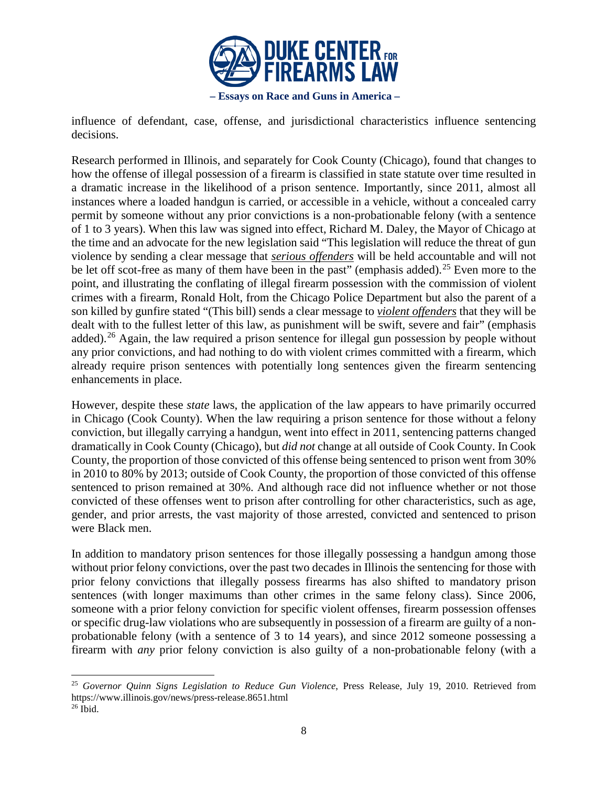

influence of defendant, case, offense, and jurisdictional characteristics influence sentencing decisions.

Research performed in Illinois, and separately for Cook County (Chicago), found that changes to how the offense of illegal possession of a firearm is classified in state statute over time resulted in a dramatic increase in the likelihood of a prison sentence. Importantly, since 2011, almost all instances where a loaded handgun is carried, or accessible in a vehicle, without a concealed carry permit by someone without any prior convictions is a non-probationable felony (with a sentence of 1 to 3 years). When this law was signed into effect, Richard M. Daley, the Mayor of Chicago at the time and an advocate for the new legislation said "This legislation will reduce the threat of gun violence by sending a clear message that *serious offenders* will be held accountable and will not be let off scot-free as many of them have been in the past" (emphasis added).<sup>[25](#page-7-0)</sup> Even more to the point, and illustrating the conflating of illegal firearm possession with the commission of violent crimes with a firearm, Ronald Holt, from the Chicago Police Department but also the parent of a son killed by gunfire stated "(This bill) sends a clear message to *violent offenders* that they will be dealt with to the fullest letter of this law, as punishment will be swift, severe and fair" (emphasis added).<sup>[26](#page-7-1)</sup> Again, the law required a prison sentence for illegal gun possession by people without any prior convictions, and had nothing to do with violent crimes committed with a firearm, which already require prison sentences with potentially long sentences given the firearm sentencing enhancements in place.

However, despite these *state* laws, the application of the law appears to have primarily occurred in Chicago (Cook County). When the law requiring a prison sentence for those without a felony conviction, but illegally carrying a handgun, went into effect in 2011, sentencing patterns changed dramatically in Cook County (Chicago), but *did not* change at all outside of Cook County. In Cook County, the proportion of those convicted of this offense being sentenced to prison went from 30% in 2010 to 80% by 2013; outside of Cook County, the proportion of those convicted of this offense sentenced to prison remained at 30%. And although race did not influence whether or not those convicted of these offenses went to prison after controlling for other characteristics, such as age, gender, and prior arrests, the vast majority of those arrested, convicted and sentenced to prison were Black men.

In addition to mandatory prison sentences for those illegally possessing a handgun among those without prior felony convictions, over the past two decades in Illinois the sentencing for those with prior felony convictions that illegally possess firearms has also shifted to mandatory prison sentences (with longer maximums than other crimes in the same felony class). Since 2006, someone with a prior felony conviction for specific violent offenses, firearm possession offenses or specific drug-law violations who are subsequently in possession of a firearm are guilty of a nonprobationable felony (with a sentence of 3 to 14 years), and since 2012 someone possessing a firearm with *any* prior felony conviction is also guilty of a non-probationable felony (with a

<span id="page-7-1"></span><span id="page-7-0"></span>l <sup>25</sup> *Governor Quinn Signs Legislation to Reduce Gun Violence*, Press Release, July 19, 2010. Retrieved from https://www.illinois.gov/news/press-release.8651.html  $26$  Ibid.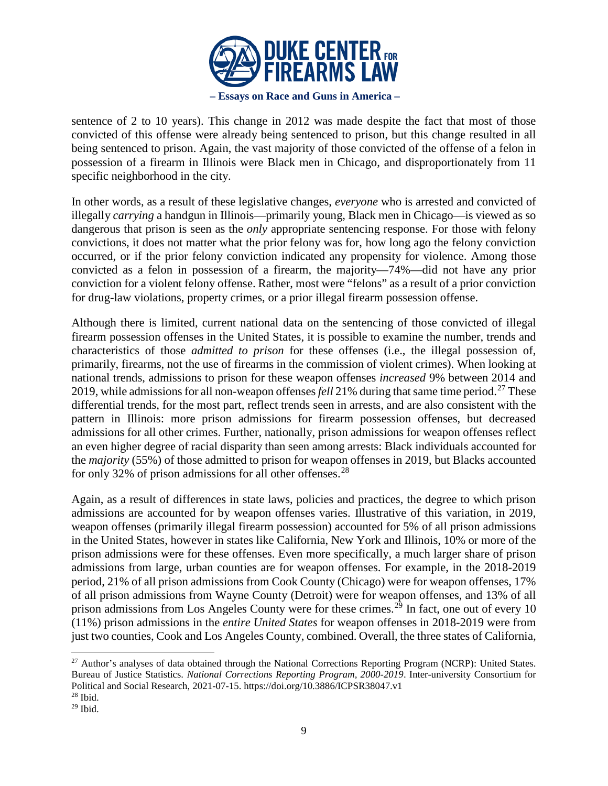

sentence of 2 to 10 years). This change in 2012 was made despite the fact that most of those convicted of this offense were already being sentenced to prison, but this change resulted in all being sentenced to prison. Again, the vast majority of those convicted of the offense of a felon in possession of a firearm in Illinois were Black men in Chicago, and disproportionately from 11 specific neighborhood in the city.

In other words, as a result of these legislative changes, *everyone* who is arrested and convicted of illegally *carrying* a handgun in Illinois—primarily young, Black men in Chicago—is viewed as so dangerous that prison is seen as the *only* appropriate sentencing response. For those with felony convictions, it does not matter what the prior felony was for, how long ago the felony conviction occurred, or if the prior felony conviction indicated any propensity for violence. Among those convicted as a felon in possession of a firearm, the majority—74%—did not have any prior conviction for a violent felony offense. Rather, most were "felons" as a result of a prior conviction for drug-law violations, property crimes, or a prior illegal firearm possession offense.

Although there is limited, current national data on the sentencing of those convicted of illegal firearm possession offenses in the United States, it is possible to examine the number, trends and characteristics of those *admitted to prison* for these offenses (i.e., the illegal possession of, primarily, firearms, not the use of firearms in the commission of violent crimes). When looking at national trends, admissions to prison for these weapon offenses *increased* 9% between 2014 and 2019, while admissions for all non-weapon offenses *fell* 21% during that same time period.<sup>[27](#page-8-0)</sup> These differential trends, for the most part, reflect trends seen in arrests, and are also consistent with the pattern in Illinois: more prison admissions for firearm possession offenses, but decreased admissions for all other crimes. Further, nationally, prison admissions for weapon offenses reflect an even higher degree of racial disparity than seen among arrests: Black individuals accounted for the *majority* (55%) of those admitted to prison for weapon offenses in 2019, but Blacks accounted for only 32% of prison admissions for all other offenses.<sup>[28](#page-8-1)</sup>

Again, as a result of differences in state laws, policies and practices, the degree to which prison admissions are accounted for by weapon offenses varies. Illustrative of this variation, in 2019, weapon offenses (primarily illegal firearm possession) accounted for 5% of all prison admissions in the United States, however in states like California, New York and Illinois, 10% or more of the prison admissions were for these offenses. Even more specifically, a much larger share of prison admissions from large, urban counties are for weapon offenses. For example, in the 2018-2019 period, 21% of all prison admissions from Cook County (Chicago) were for weapon offenses, 17% of all prison admissions from Wayne County (Detroit) were for weapon offenses, and 13% of all prison admissions from Los Angeles County were for these crimes.<sup>[29](#page-8-2)</sup> In fact, one out of every 10 (11%) prison admissions in the *entire United States* for weapon offenses in 2018-2019 were from just two counties, Cook and Los Angeles County, combined. Overall, the three states of California,

<span id="page-8-0"></span><sup>&</sup>lt;sup>27</sup> Author's analyses of data obtained through the National Corrections Reporting Program (NCRP): United States. Bureau of Justice Statistics. *National Corrections Reporting Program, 2000-2019*. Inter-university Consortium for Political and Social Research, 2021-07-15. https://doi.org/10.3886/ICPSR38047.v1

<span id="page-8-1"></span> $28$  Ibid.

<span id="page-8-2"></span> $29$  Ibid.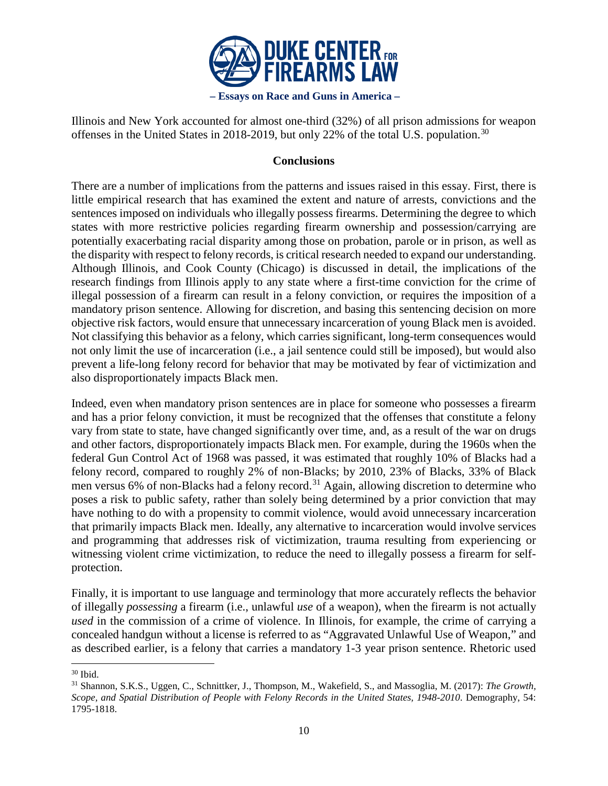

Illinois and New York accounted for almost one-third (32%) of all prison admissions for weapon offenses in the United States in 2018-2019, but only 22% of the total U.S. population.<sup>[30](#page-9-0)</sup>

# **Conclusions**

There are a number of implications from the patterns and issues raised in this essay. First, there is little empirical research that has examined the extent and nature of arrests, convictions and the sentences imposed on individuals who illegally possess firearms. Determining the degree to which states with more restrictive policies regarding firearm ownership and possession/carrying are potentially exacerbating racial disparity among those on probation, parole or in prison, as well as the disparity with respect to felony records, is critical research needed to expand our understanding. Although Illinois, and Cook County (Chicago) is discussed in detail, the implications of the research findings from Illinois apply to any state where a first-time conviction for the crime of illegal possession of a firearm can result in a felony conviction, or requires the imposition of a mandatory prison sentence. Allowing for discretion, and basing this sentencing decision on more objective risk factors, would ensure that unnecessary incarceration of young Black men is avoided. Not classifying this behavior as a felony, which carries significant, long-term consequences would not only limit the use of incarceration (i.e., a jail sentence could still be imposed), but would also prevent a life-long felony record for behavior that may be motivated by fear of victimization and also disproportionately impacts Black men.

Indeed, even when mandatory prison sentences are in place for someone who possesses a firearm and has a prior felony conviction, it must be recognized that the offenses that constitute a felony vary from state to state, have changed significantly over time, and, as a result of the war on drugs and other factors, disproportionately impacts Black men. For example, during the 1960s when the federal Gun Control Act of 1968 was passed, it was estimated that roughly 10% of Blacks had a felony record, compared to roughly 2% of non-Blacks; by 2010, 23% of Blacks, 33% of Black men versus 6% of non-Blacks had a felony record.<sup>[31](#page-9-1)</sup> Again, allowing discretion to determine who poses a risk to public safety, rather than solely being determined by a prior conviction that may have nothing to do with a propensity to commit violence, would avoid unnecessary incarceration that primarily impacts Black men. Ideally, any alternative to incarceration would involve services and programming that addresses risk of victimization, trauma resulting from experiencing or witnessing violent crime victimization, to reduce the need to illegally possess a firearm for selfprotection.

Finally, it is important to use language and terminology that more accurately reflects the behavior of illegally *possessing* a firearm (i.e., unlawful *use* of a weapon), when the firearm is not actually *used* in the commission of a crime of violence. In Illinois, for example, the crime of carrying a concealed handgun without a license is referred to as "Aggravated Unlawful Use of Weapon," and as described earlier, is a felony that carries a mandatory 1-3 year prison sentence. Rhetoric used

l

<span id="page-9-0"></span> $30$  Ibid.

<span id="page-9-1"></span><sup>31</sup> Shannon, S.K.S., Uggen, C., Schnittker, J., Thompson, M., Wakefield, S., and Massoglia, M. (2017): *The Growth, Scope, and Spatial Distribution of People with Felony Records in the United States, 1948-2010*. Demography, 54: 1795-1818.